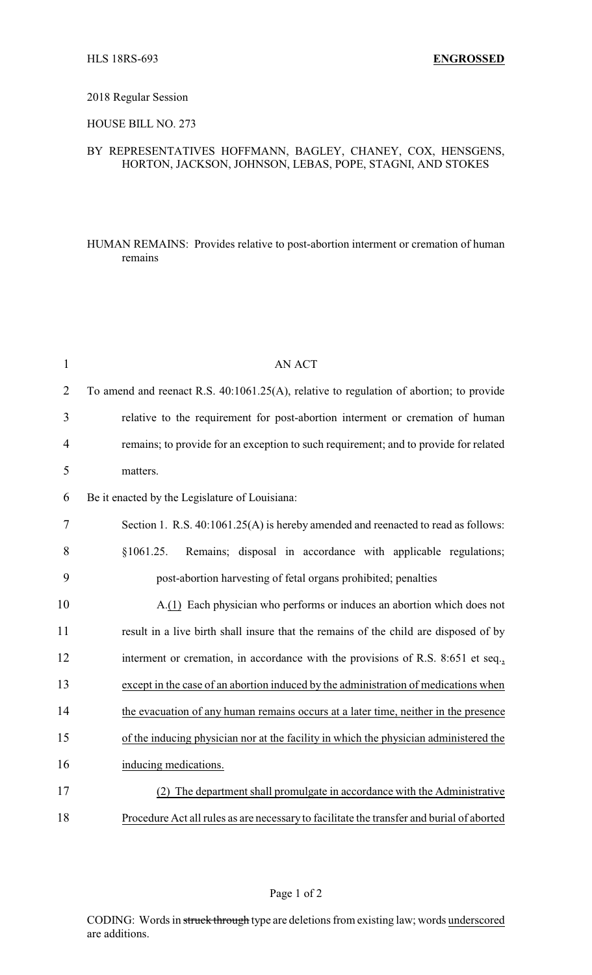#### 2018 Regular Session

# HOUSE BILL NO. 273

## BY REPRESENTATIVES HOFFMANN, BAGLEY, CHANEY, COX, HENSGENS, HORTON, JACKSON, JOHNSON, LEBAS, POPE, STAGNI, AND STOKES

#### HUMAN REMAINS: Provides relative to post-abortion interment or cremation of human remains

| $\mathbf{1}$   | <b>AN ACT</b>                                                                             |
|----------------|-------------------------------------------------------------------------------------------|
| 2              | To amend and reenact R.S. 40:1061.25(A), relative to regulation of abortion; to provide   |
| 3              | relative to the requirement for post-abortion interment or cremation of human             |
| $\overline{4}$ | remains; to provide for an exception to such requirement; and to provide for related      |
| 5              | matters.                                                                                  |
| 6              | Be it enacted by the Legislature of Louisiana:                                            |
| $\tau$         | Section 1. R.S. 40:1061.25(A) is hereby amended and reenacted to read as follows:         |
| 8              | Remains; disposal in accordance with applicable regulations;<br>\$1061.25.                |
| 9              | post-abortion harvesting of fetal organs prohibited; penalties                            |
| 10             | A.(1) Each physician who performs or induces an abortion which does not                   |
| 11             | result in a live birth shall insure that the remains of the child are disposed of by      |
| 12             | interment or cremation, in accordance with the provisions of R.S. 8:651 et seq.,          |
| 13             | except in the case of an abortion induced by the administration of medications when       |
| 14             | the evacuation of any human remains occurs at a later time, neither in the presence       |
| 15             | of the inducing physician nor at the facility in which the physician administered the     |
| 16             | inducing medications.                                                                     |
| 17             | (2) The department shall promulgate in accordance with the Administrative                 |
| 18             | Procedure Act all rules as are necessary to facilitate the transfer and burial of aborted |